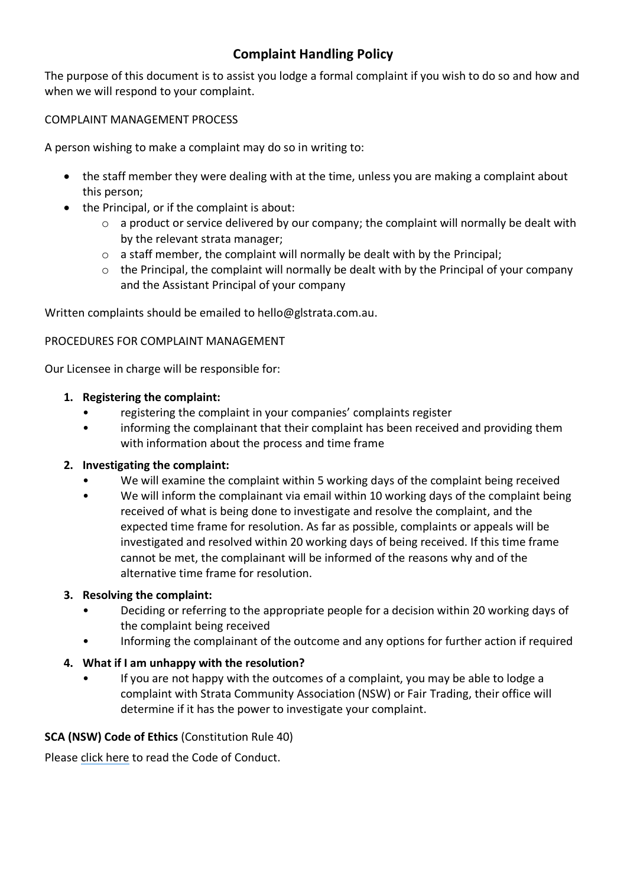# **Complaint Handling Policy**

The purpose of this document is to assist you lodge a formal complaint if you wish to do so and how and when we will respond to your complaint.

## COMPLAINT MANAGEMENT PROCESS

A person wishing to make a complaint may do so in writing to:

- the staff member they were dealing with at the time, unless you are making a complaint about this person;
- the Principal, or if the complaint is about:
	- o a product or service delivered by our company; the complaint will normally be dealt with by the relevant strata manager;
	- $\circ$  a staff member, the complaint will normally be dealt with by the Principal;
	- o the Principal, the complaint will normally be dealt with by the Principal of your company and the Assistant Principal of your company

Written complaints should be emailed to hello@glstrata.com.au.

### PROCEDURES FOR COMPLAINT MANAGEMENT

Our Licensee in charge will be responsible for:

### **1. Registering the complaint:**

- registering the complaint in your companies' complaints register
- informing the complainant that their complaint has been received and providing them with information about the process and time frame

### **2. Investigating the complaint:**

- We will examine the complaint within 5 working days of the complaint being received
- We will inform the complainant via email within 10 working days of the complaint being received of what is being done to investigate and resolve the complaint, and the expected time frame for resolution. As far as possible, complaints or appeals will be investigated and resolved within 20 working days of being received. If this time frame cannot be met, the complainant will be informed of the reasons why and of the alternative time frame for resolution.

### **3. Resolving the complaint:**

- Deciding or referring to the appropriate people for a decision within 20 working days of the complaint being received
- Informing the complainant of the outcome and any options for further action if required

### **4. What if I am unhappy with the resolution?**

• If you are not happy with the outcomes of a complaint, you may be able to lodge a complaint with Strata Community Association (NSW) or Fair Trading, their office will determine if it has the power to investigate your complaint.

### **SCA (NSW) Code of Ethics** (Constitution Rule 40)

Pleas[e click here](https://nsw.strata.community/code-of-ethics/) to read the Code of Conduct.